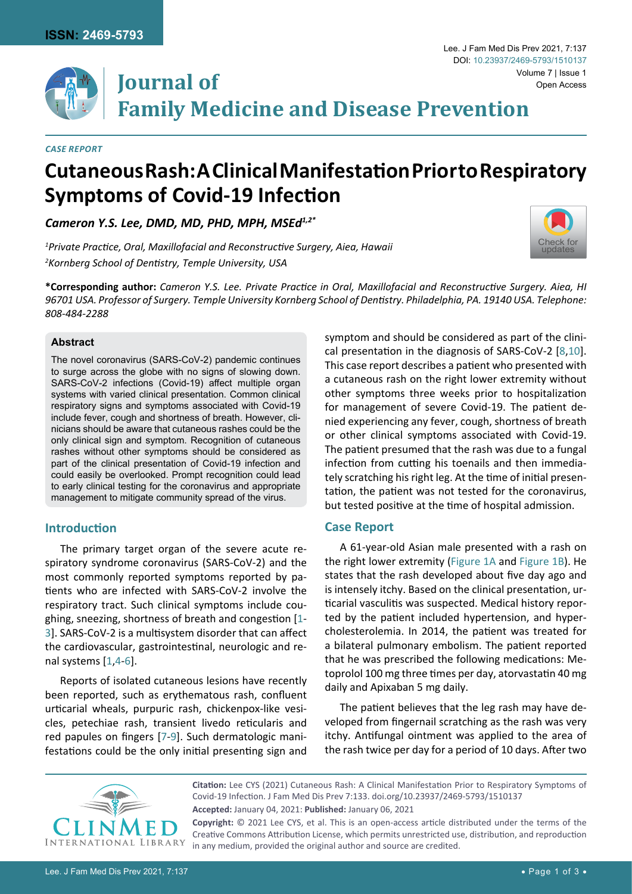

#### *Case Report*

# **Cutaneous Rash: A Clinical Manifestation Prior to Respiratory Symptoms of Covid-19 Infection**

*Cameron Y.S. Lee, DMD, MD, PHD, MPH, MSEd1,2\**

*1 Private Practice, Oral, Maxillofacial and Reconstructive Surgery, Aiea, Hawaii 2 Kornberg School of Dentistry, Temple University, USA*



Lee. J Fam Med Dis Prev 2021, 7:137

**\*Corresponding author:** *Cameron Y.S. Lee. Private Practice in Oral, Maxillofacial and Reconstructive Surgery. Aiea, HI 96701 USA. Professor of Surgery. Temple University Kornberg School of Dentistry. Philadelphia, PA. 19140 USA. Telephone: 808-484-2288*

#### **Abstract**

The novel coronavirus (SARS-CoV-2) pandemic continues to surge across the globe with no signs of slowing down. SARS-CoV-2 infections (Covid-19) affect multiple organ systems with varied clinical presentation. Common clinical respiratory signs and symptoms associated with Covid-19 include fever, cough and shortness of breath. However, clinicians should be aware that cutaneous rashes could be the only clinical sign and symptom. Recognition of cutaneous rashes without other symptoms should be considered as part of the clinical presentation of Covid-19 infection and could easily be overlooked. Prompt recognition could lead to early clinical testing for the coronavirus and appropriate management to mitigate community spread of the virus.

# **Introduction**

The primary target organ of the severe acute respiratory syndrome coronavirus (SARS-CoV-2) and the most commonly reported symptoms reported by patients who are infected with SARS-CoV-2 involve the respiratory tract. Such clinical symptoms include coughing, sneezing, shortness of breath and congestion [[1-](#page-2-2) [3](#page-2-3)]. SARS-CoV-2 is a multisystem disorder that can affect the cardiovascular, gastrointestinal, neurologic and renal systems [[1](#page-2-2),[4](#page-2-4)-[6](#page-2-5)].

Reports of isolated cutaneous lesions have recently been reported, such as erythematous rash, confluent urticarial wheals, purpuric rash, chickenpox-like vesicles, petechiae rash, transient livedo reticularis and red papules on fingers [[7](#page-2-6)-[9](#page-2-7)]. Such dermatologic manifestations could be the only initial presenting sign and

symptom and should be considered as part of the clinical presentation in the diagnosis of SARS-CoV-2 [[8](#page-2-0),[10](#page-2-1)]. This case report describes a patient who presented with a cutaneous rash on the right lower extremity without other symptoms three weeks prior to hospitalization for management of severe Covid-19. The patient denied experiencing any fever, cough, shortness of breath or other clinical symptoms associated with Covid-19. The patient presumed that the rash was due to a fungal infection from cutting his toenails and then immediately scratching his right leg. At the time of initial presentation, the patient was not tested for the coronavirus, but tested positive at the time of hospital admission.

### **Case Report**

A 61-year-old Asian male presented with a rash on the right lower extremity ([Figure 1A](#page-1-0) and [Figure 1B\)](#page-1-0). He states that the rash developed about five day ago and is intensely itchy. Based on the clinical presentation, urticarial vasculitis was suspected. Medical history reported by the patient included hypertension, and hypercholesterolemia. In 2014, the patient was treated for a bilateral pulmonary embolism. The patient reported that he was prescribed the following medications: Metoprolol 100 mg three times per day, atorvastatin 40 mg daily and Apixaban 5 mg daily.

The patient believes that the leg rash may have developed from fingernail scratching as the rash was very itchy. Antifungal ointment was applied to the area of the rash twice per day for a period of 10 days. After two



**Citation:** Lee CYS (2021) Cutaneous Rash: A Clinical Manifestation Prior to Respiratory Symptoms of Covid-19 Infection. J Fam Med Dis Prev 7:133. [doi.org/10.23937/2469-5793/1510137](https://doi.org/10.23937/2469-5793/1510137) **Accepted:** January 04, 2021: **Published:** January 06, 2021 **Copyright:** © 2021 Lee CYS, et al. This is an open-access article distributed under the terms of the

Creative Commons Attribution License, which permits unrestricted use, distribution, and reproduction in any medium, provided the original author and source are credited.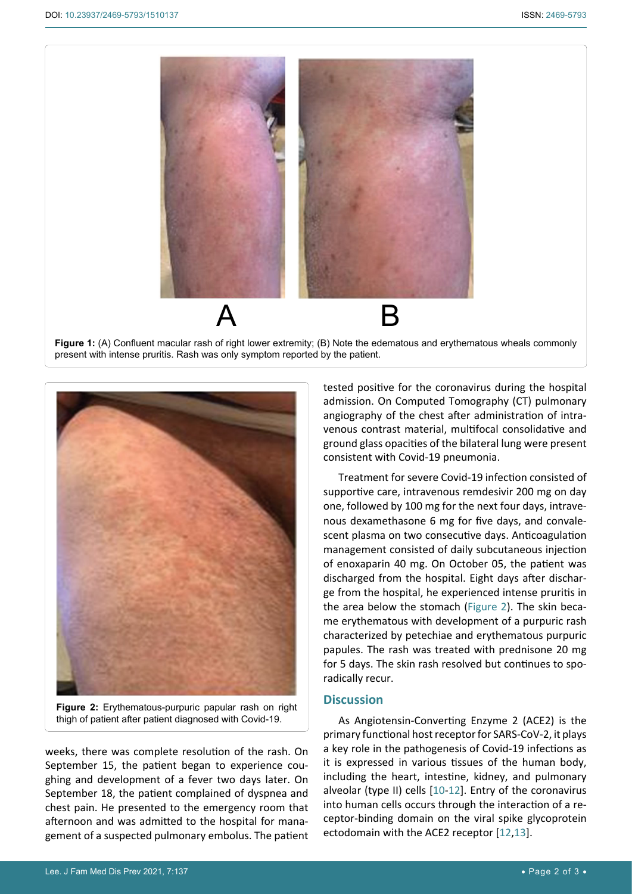<span id="page-1-0"></span>Ī



**Figure 1:** (A) Confluent macular rash of right lower extremity; (B) Note the edematous and erythematous wheals commonly present with intense pruritis. Rash was only symptom reported by the patient.

<span id="page-1-1"></span>

**Figure 2:** Erythematous-purpuric papular rash on right thigh of patient after patient diagnosed with Covid-19.

weeks, there was complete resolution of the rash. On September 15, the patient began to experience coughing and development of a fever two days later. On September 18, the patient complained of dyspnea and chest pain. He presented to the emergency room that afternoon and was admitted to the hospital for management of a suspected pulmonary embolus. The patient

tested positive for the coronavirus during the hospital admission. On Computed Tomography (CT) pulmonary angiography of the chest after administration of intravenous contrast material, multifocal consolidative and ground glass opacities of the bilateral lung were present consistent with Covid-19 pneumonia.

Treatment for severe Covid-19 infection consisted of supportive care, intravenous remdesivir 200 mg on day one, followed by 100 mg for the next four days, intravenous dexamethasone 6 mg for five days, and convalescent plasma on two consecutive days. Anticoagulation management consisted of daily subcutaneous injection of enoxaparin 40 mg. On October 05, the patient was discharged from the hospital. Eight days after discharge from the hospital, he experienced intense pruritis in the area below the stomach ([Figure 2\)](#page-1-1). The skin became erythematous with development of a purpuric rash characterized by petechiae and erythematous purpuric papules. The rash was treated with prednisone 20 mg for 5 days. The skin rash resolved but continues to sporadically recur.

# **Discussion**

As Angiotensin-Converting Enzyme 2 (ACE2) is the primary functional host receptor for SARS-CoV-2, it plays a key role in the pathogenesis of Covid-19 infections as it is expressed in various tissues of the human body, including the heart, intestine, kidney, and pulmonary alveolar (type II) cells [[10](#page-2-1)-[12](#page-2-8)]. Entry of the coronavirus into human cells occurs through the interaction of a receptor-binding domain on the viral spike glycoprotein ectodomain with the ACE2 receptor [[12](#page-2-8)[,13\]](#page-2-9).